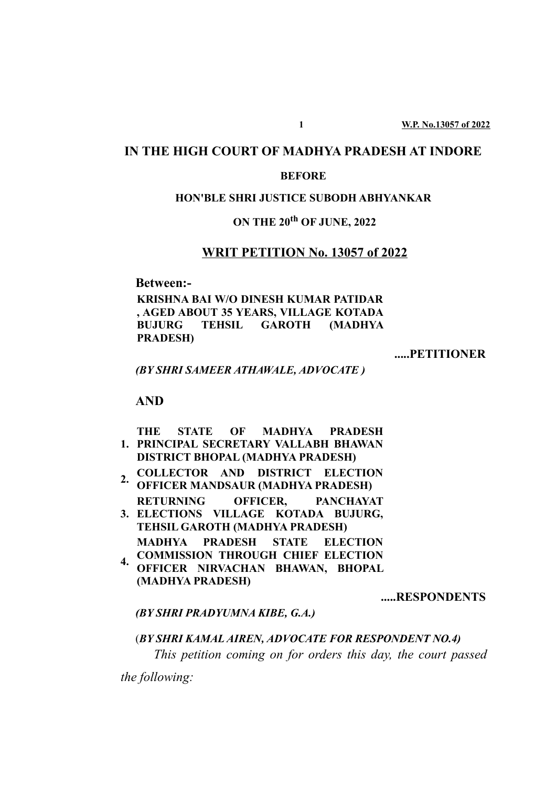## **IN THE HIGH COURT OF MADHYA PRADESH AT INDORE**

#### **BEFORE**

#### **HON'BLE SHRI JUSTICE SUBODH ABHYANKAR**

### **ON THE 20th OF JUNE, 2022**

### **WRIT PETITION No. 13057 of 2022**

**Between:-**

**KRISHNA BAI W/O DINESH KUMAR PATIDAR , AGED ABOUT 35 YEARS, VILLAGE KOTADA BUJURG TEHSIL GAROTH (MADHYA PRADESH)**

**.....PETITIONER**

*(BY SHRI SAMEER ATHAWALE, ADVOCATE )*

#### **AND**

**1. PRINCIPAL SECRETARY VALLABH BHAWAN THE STATE OF MADHYA PRADESH DISTRICT BHOPAL (MADHYA PRADESH)**

- **2. COLLECTOR AND DISTRICT ELECTION OFFICER MANDSAUR (MADHYA PRADESH)**
- **3. ELECTIONS VILLAGE KOTADA BUJURG, RETURNING OFFICER, PANCHAYAT**

**TEHSIL GAROTH (MADHYA PRADESH) MADHYA PRADESH STATE ELECTION COMMISSION THROUGH CHIEF ELECTION**

**4. OFFICER NIRVACHAN BHAWAN, BHOPAL (MADHYA PRADESH)**

**.....RESPONDENTS**

*(BY SHRI PRADYUMNA KIBE, G.A.)*

(*BY SHRI KAMAL AIREN, ADVOCATE FOR RESPONDENT NO.4) This petition coming on for orders this day, the court passed*

*the following:*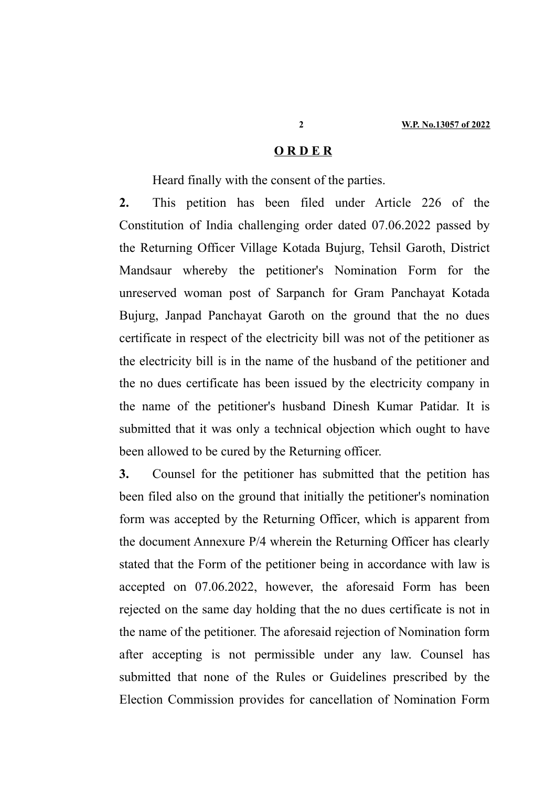#### **O R D E R**

Heard finally with the consent of the parties.

**2.** This petition has been filed under Article 226 of the Constitution of India challenging order dated 07.06.2022 passed by the Returning Officer Village Kotada Bujurg, Tehsil Garoth, District Mandsaur whereby the petitioner's Nomination Form for the unreserved woman post of Sarpanch for Gram Panchayat Kotada Bujurg, Janpad Panchayat Garoth on the ground that the no dues certificate in respect of the electricity bill was not of the petitioner as the electricity bill is in the name of the husband of the petitioner and the no dues certificate has been issued by the electricity company in the name of the petitioner's husband Dinesh Kumar Patidar. It is submitted that it was only a technical objection which ought to have been allowed to be cured by the Returning officer.

**3.** Counsel for the petitioner has submitted that the petition has been filed also on the ground that initially the petitioner's nomination form was accepted by the Returning Officer, which is apparent from the document Annexure P/4 wherein the Returning Officer has clearly stated that the Form of the petitioner being in accordance with law is accepted on 07.06.2022, however, the aforesaid Form has been rejected on the same day holding that the no dues certificate is not in the name of the petitioner. The aforesaid rejection of Nomination form after accepting is not permissible under any law. Counsel has submitted that none of the Rules or Guidelines prescribed by the Election Commission provides for cancellation of Nomination Form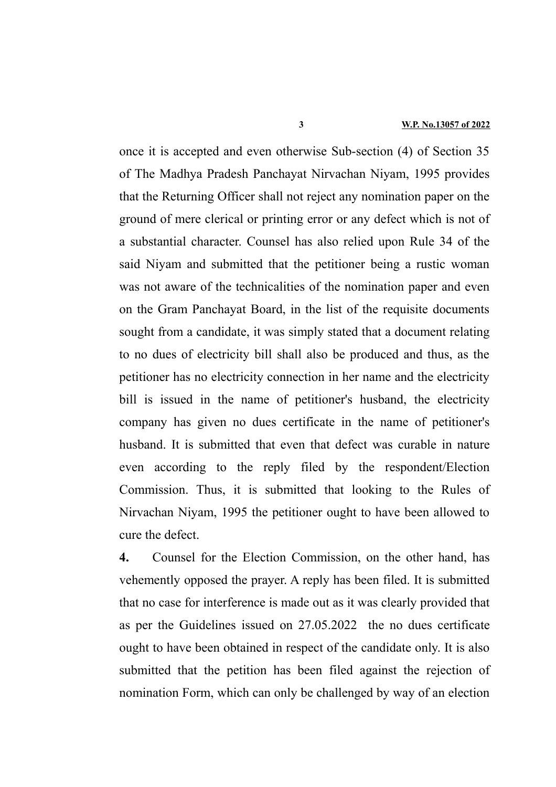once it is accepted and even otherwise Sub-section (4) of Section 35 of The Madhya Pradesh Panchayat Nirvachan Niyam, 1995 provides that the Returning Officer shall not reject any nomination paper on the ground of mere clerical or printing error or any defect which is not of a substantial character. Counsel has also relied upon Rule 34 of the said Niyam and submitted that the petitioner being a rustic woman was not aware of the technicalities of the nomination paper and even on the Gram Panchayat Board, in the list of the requisite documents sought from a candidate, it was simply stated that a document relating to no dues of electricity bill shall also be produced and thus, as the petitioner has no electricity connection in her name and the electricity bill is issued in the name of petitioner's husband, the electricity company has given no dues certificate in the name of petitioner's husband. It is submitted that even that defect was curable in nature even according to the reply filed by the respondent/Election Commission. Thus, it is submitted that looking to the Rules of Nirvachan Niyam, 1995 the petitioner ought to have been allowed to cure the defect.

**4.** Counsel for the Election Commission, on the other hand, has vehemently opposed the prayer. A reply has been filed. It is submitted that no case for interference is made out as it was clearly provided that as per the Guidelines issued on 27.05.2022 the no dues certificate ought to have been obtained in respect of the candidate only. It is also submitted that the petition has been filed against the rejection of nomination Form, which can only be challenged by way of an election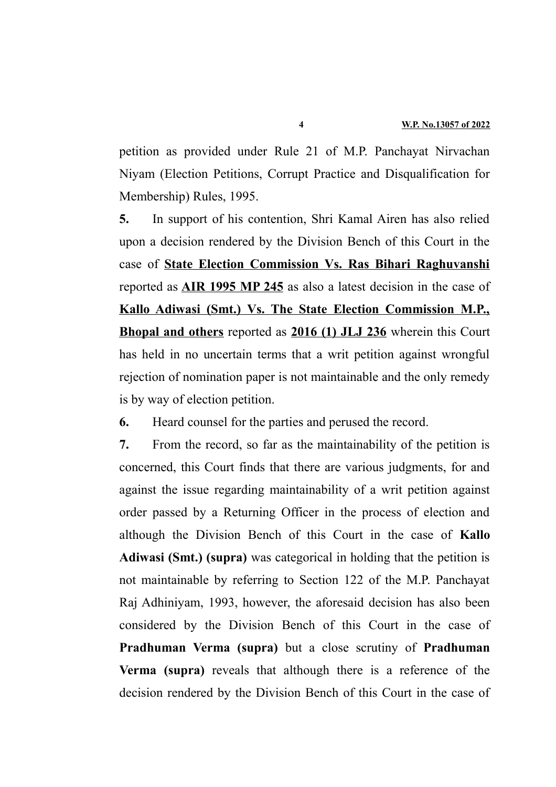petition as provided under Rule 21 of M.P. Panchayat Nirvachan Niyam (Election Petitions, Corrupt Practice and Disqualification for Membership) Rules, 1995.

**5.** In support of his contention, Shri Kamal Airen has also relied upon a decision rendered by the Division Bench of this Court in the case of **State Election Commission Vs. Ras Bihari Raghuvanshi** reported as **AIR 1995 MP 245** as also a latest decision in the case of **Kallo Adiwasi (Smt.) Vs. The State Election Commission M.P., Bhopal and others** reported as **2016 (1) JLJ 236** wherein this Court has held in no uncertain terms that a writ petition against wrongful rejection of nomination paper is not maintainable and the only remedy is by way of election petition.

**6.** Heard counsel for the parties and perused the record.

**7.** From the record, so far as the maintainability of the petition is concerned, this Court finds that there are various judgments, for and against the issue regarding maintainability of a writ petition against order passed by a Returning Officer in the process of election and although the Division Bench of this Court in the case of **Kallo Adiwasi (Smt.) (supra)** was categorical in holding that the petition is not maintainable by referring to Section 122 of the M.P. Panchayat Raj Adhiniyam, 1993, however, the aforesaid decision has also been considered by the Division Bench of this Court in the case of **Pradhuman Verma (supra)** but a close scrutiny of **Pradhuman Verma (supra)** reveals that although there is a reference of the decision rendered by the Division Bench of this Court in the case of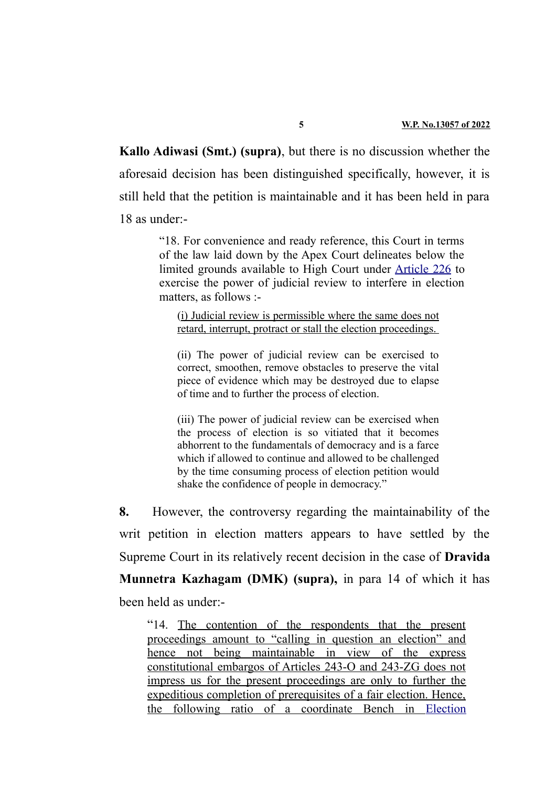**Kallo Adiwasi (Smt.) (supra)**, but there is no discussion whether the aforesaid decision has been distinguished specifically, however, it is still held that the petition is maintainable and it has been held in para 18 as under:-

> "18. For convenience and ready reference, this Court in terms of the law laid down by the Apex Court delineates below the limited grounds available to High Court under [Article 226](https://indiankanoon.org/doc/1712542/) to exercise the power of judicial review to interfere in election matters, as follows :-

(i) Judicial review is permissible where the same does not retard, interrupt, protract or stall the election proceedings.

(ii) The power of judicial review can be exercised to correct, smoothen, remove obstacles to preserve the vital piece of evidence which may be destroyed due to elapse of time and to further the process of election.

(iii) The power of judicial review can be exercised when the process of election is so vitiated that it becomes abhorrent to the fundamentals of democracy and is a farce which if allowed to continue and allowed to be challenged by the time consuming process of election petition would shake the confidence of people in democracy."

**8.** However, the controversy regarding the maintainability of the writ petition in election matters appears to have settled by the Supreme Court in its relatively recent decision in the case of **Dravida Munnetra Kazhagam (DMK) (supra),** in para 14 of which it has been held as under:-

"14. The contention of the respondents that the present proceedings amount to "calling in question an election" and hence not being maintainable in view of the express constitutional embargos of Articles 243-O and 243-ZG does not impress us for the present proceedings are only to further the expeditious completion of prerequisites of a fair election. Hence, the following ratio of a coordinate Bench in [Election](https://indiankanoon.org/doc/1247997/)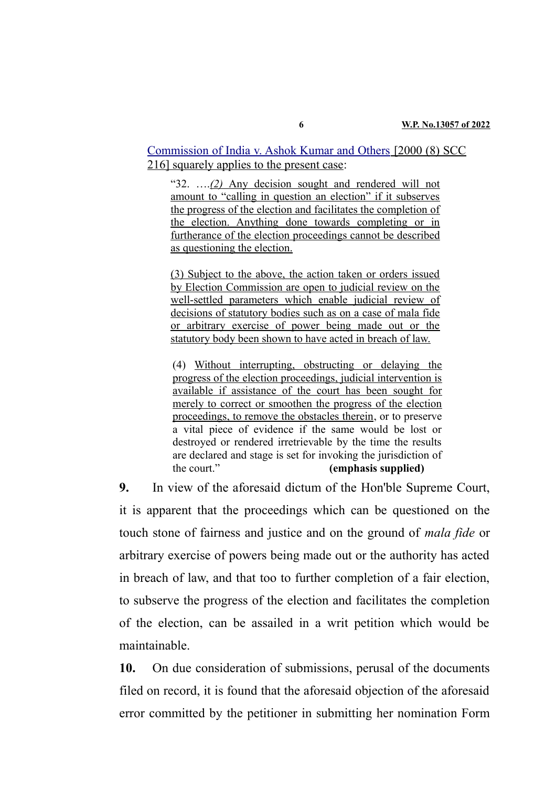[Commission of India v. Ashok Kumar and Others](https://indiankanoon.org/doc/1247997/) [2000 (8) SCC 216] squarely applies to the present case:

" $32.$  ... $(2)$  Any decision sought and rendered will not amount to "calling in question an election" if it subserves the progress of the election and facilitates the completion of the election. Anything done towards completing or in furtherance of the election proceedings cannot be described as questioning the election.

(3) Subject to the above, the action taken or orders issued by Election Commission are open to judicial review on the well-settled parameters which enable judicial review of decisions of statutory bodies such as on a case of mala fide or arbitrary exercise of power being made out or the statutory body been shown to have acted in breach of law.

(4) Without interrupting, obstructing or delaying the progress of the election proceedings, judicial intervention is available if assistance of the court has been sought for merely to correct or smoothen the progress of the election proceedings, to remove the obstacles therein, or to preserve a vital piece of evidence if the same would be lost or destroyed or rendered irretrievable by the time the results are declared and stage is set for invoking the jurisdiction of the court." **(emphasis supplied)**

**9.** In view of the aforesaid dictum of the Hon'ble Supreme Court, it is apparent that the proceedings which can be questioned on the touch stone of fairness and justice and on the ground of *mala fide* or arbitrary exercise of powers being made out or the authority has acted in breach of law, and that too to further completion of a fair election, to subserve the progress of the election and facilitates the completion of the election, can be assailed in a writ petition which would be maintainable.

**10.** On due consideration of submissions, perusal of the documents filed on record, it is found that the aforesaid objection of the aforesaid error committed by the petitioner in submitting her nomination Form